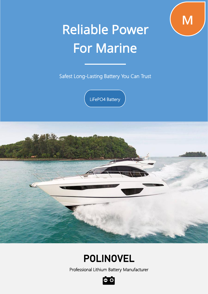

# Reliable Power For Marine

Safest Long-Lasting Battery You Can Trust

LiFePO4 Battery



## POLINOVEL

Professional Lithium Battery Manufacturer

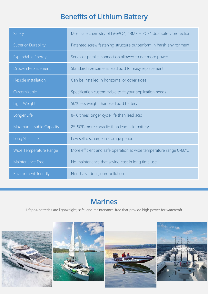### Benefits of Lithium Battery

| Safety                     | Most safe chemistry of LiFePO4, "BMS + PCB" dual safety protection |  |  |  |
|----------------------------|--------------------------------------------------------------------|--|--|--|
| <b>Superior Durability</b> | Patented screw fastening structure outperform in harsh environment |  |  |  |
| Expandable Energy          | Series or parallel connection allowed to get more power            |  |  |  |
| Drop-in Replacement        | Standard size same as lead acid for easy replacement               |  |  |  |
| Flexible Installation      | Can be installed in horizontal or other sides                      |  |  |  |
| Customizable               | Specification customizable to fit your application needs           |  |  |  |
| Light Weight               | 50% less weight than lead acid battery                             |  |  |  |
| Longer Life                | 8-10 times longer cycle life than lead acid                        |  |  |  |
| Maximum Usable Capacity    | 25-50% more capacity than lead acid battery                        |  |  |  |
| Long Shelf Life            | Low self discharge in storage period                               |  |  |  |
| Wide Temperature Range     | More efficient and safe operation at wide temperature range 0-60°C |  |  |  |
| Maintenance Free           | No maintenance that saving cost in long time use                   |  |  |  |
| Environment-friendly       | Non-hazardous, non-pollution                                       |  |  |  |

#### Marines

Lifepo4 batteries are lightweight, safe, and maintenance-free that provide high power for watercraft.